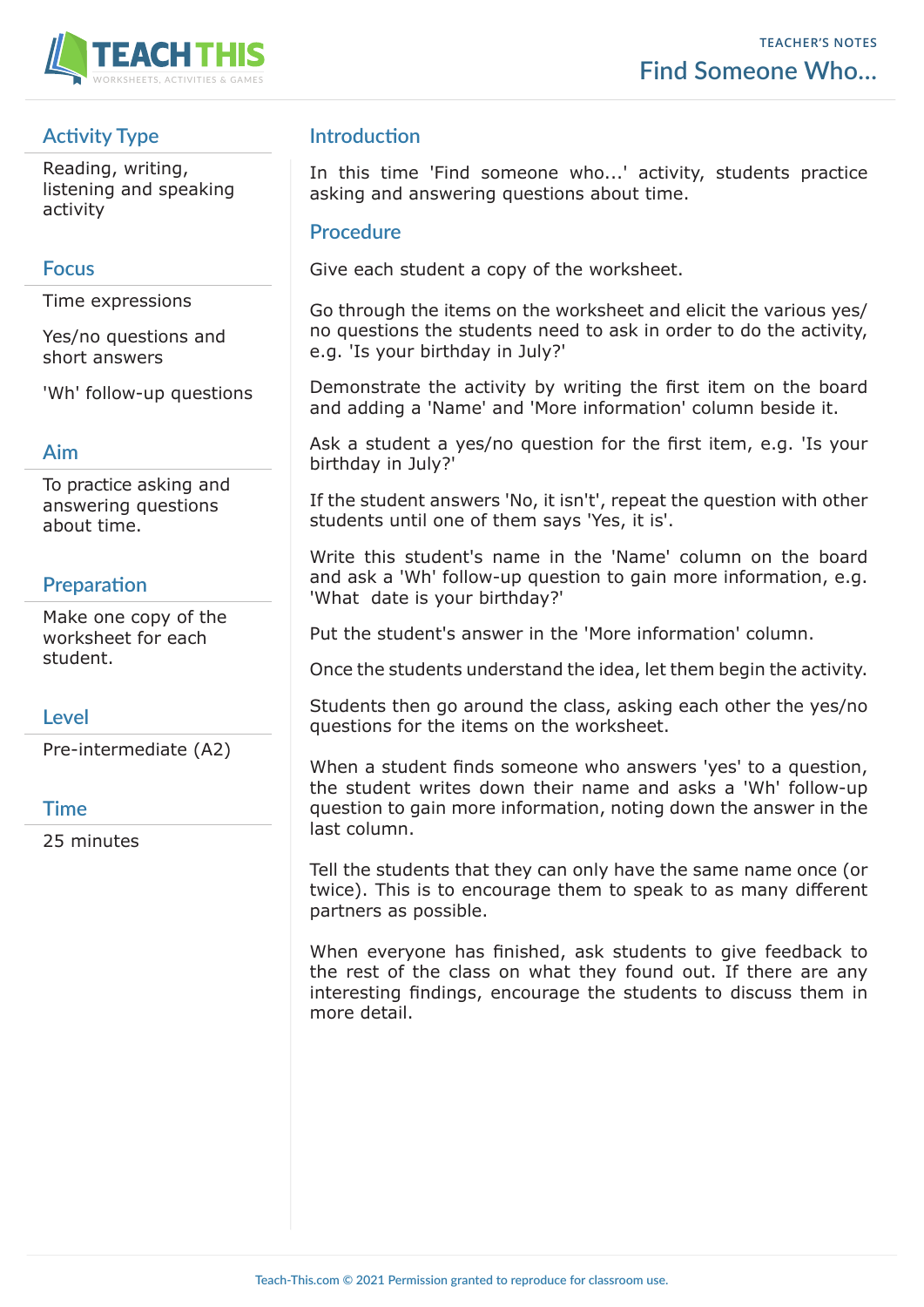

# **Activity Type**

Reading, writing, listening and speaking activity

### **Focus**

Time expressions

Yes/no questions and short answers

'Wh' follow-up questions

#### **Aim**

To practice asking and answering questions about time.

## **Preparation**

Make one copy of the worksheet for each student.

### **Level**

Pre-intermediate (A2)

#### **Time**

25 minutes

### **Introduction**

In this time 'Find someone who...' activity, students practice asking and answering questions about time.

#### **Procedure**

Give each student a copy of the worksheet.

Go through the items on the worksheet and elicit the various yes/ no questions the students need to ask in order to do the activity, e.g. 'Is your birthday in July?'

Demonstrate the activity by writing the first item on the board and adding a 'Name' and 'More information' column beside it.

Ask a student a yes/no question for the first item, e.g. 'Is your birthday in July?'

If the student answers 'No, it isn't', repeat the question with other students until one of them says 'Yes, it is'.

Write this student's name in the 'Name' column on the board and ask a 'Wh' follow-up question to gain more information, e.g. 'What date is your birthday?'

Put the student's answer in the 'More information' column.

Once the students understand the idea, let them begin the activity.

Students then go around the class, asking each other the yes/no questions for the items on the worksheet.

When a student finds someone who answers 'yes' to a question, the student writes down their name and asks a 'Wh' follow-up question to gain more information, noting down the answer in the last column.

Tell the students that they can only have the same name once (or twice). This is to encourage them to speak to as many different partners as possible.

When everyone has finished, ask students to give feedback to the rest of the class on what they found out. If there are any interesting findings, encourage the students to discuss them in more detail.